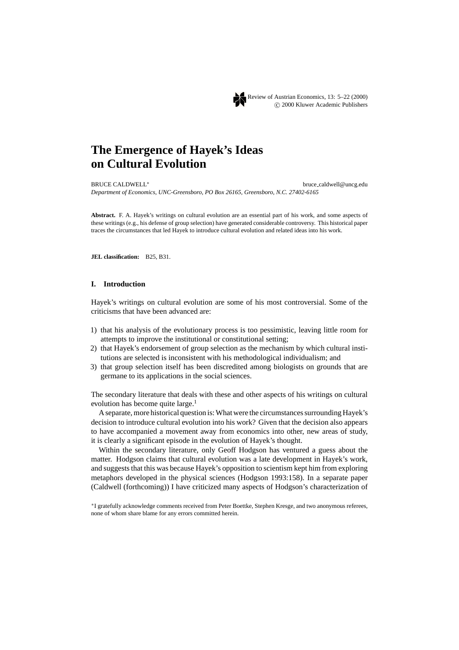

Review of Austrian Economics, 13: 5–22 (2000) © 2000 Kluwer Academic Publishers

# **The Emergence of Hayek's Ideas on Cultural Evolution**

BRUCE CALDWELL<sup>∗</sup> bruce\_caldwell@uncg.edu *Department of Economics, UNC-Greensboro, PO Box 26165, Greensboro, N.C. 27402-6165*

**Abstract.** F. A. Hayek's writings on cultural evolution are an essential part of his work, and some aspects of these writings (e.g., his defense of group selection) have generated considerable controversy. This historical paper traces the circumstances that led Hayek to introduce cultural evolution and related ideas into his work.

**JEL classification:** B25, B31.

# **I. Introduction**

Hayek's writings on cultural evolution are some of his most controversial. Some of the criticisms that have been advanced are:

- 1) that his analysis of the evolutionary process is too pessimistic, leaving little room for attempts to improve the institutional or constitutional setting;
- 2) that Hayek's endorsement of group selection as the mechanism by which cultural institutions are selected is inconsistent with his methodological individualism; and
- 3) that group selection itself has been discredited among biologists on grounds that are germane to its applications in the social sciences.

The secondary literature that deals with these and other aspects of his writings on cultural evolution has become quite large.<sup>1</sup>

A separate, more historical question is: What were the circumstances surrounding Hayek's decision to introduce cultural evolution into his work? Given that the decision also appears to have accompanied a movement away from economics into other, new areas of study, it is clearly a significant episode in the evolution of Hayek's thought.

Within the secondary literature, only Geoff Hodgson has ventured a guess about the matter. Hodgson claims that cultural evolution was a late development in Hayek's work, and suggests that this was because Hayek's opposition to scientism kept him from exploring metaphors developed in the physical sciences (Hodgson 1993:158). In a separate paper (Caldwell (forthcoming)) I have criticized many aspects of Hodgson's characterization of

∗I gratefully acknowledge comments received from Peter Boettke, Stephen Kresge, and two anonymous referees, none of whom share blame for any errors committed herein.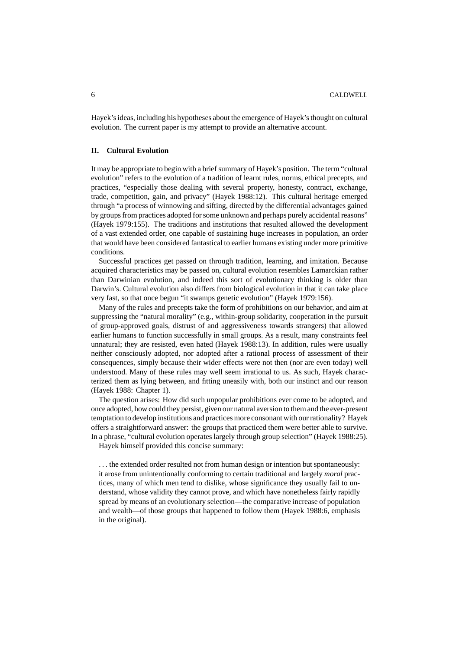Hayek's ideas, including his hypotheses about the emergence of Hayek's thought on cultural evolution. The current paper is my attempt to provide an alternative account.

## **II. Cultural Evolution**

It may be appropriate to begin with a brief summary of Hayek's position. The term "cultural evolution" refers to the evolution of a tradition of learnt rules, norms, ethical precepts, and practices, "especially those dealing with several property, honesty, contract, exchange, trade, competition, gain, and privacy" (Hayek 1988:12). This cultural heritage emerged through "a process of winnowing and sifting, directed by the differential advantages gained by groups from practices adopted for some unknown and perhaps purely accidental reasons" (Hayek 1979:155). The traditions and institutions that resulted allowed the development of a vast extended order, one capable of sustaining huge increases in population, an order that would have been considered fantastical to earlier humans existing under more primitive conditions.

Successful practices get passed on through tradition, learning, and imitation. Because acquired characteristics may be passed on, cultural evolution resembles Lamarckian rather than Darwinian evolution, and indeed this sort of evolutionary thinking is older than Darwin's. Cultural evolution also differs from biological evolution in that it can take place very fast, so that once begun "it swamps genetic evolution" (Hayek 1979:156).

Many of the rules and precepts take the form of prohibitions on our behavior, and aim at suppressing the "natural morality" (e.g., within-group solidarity, cooperation in the pursuit of group-approved goals, distrust of and aggressiveness towards strangers) that allowed earlier humans to function successfully in small groups. As a result, many constraints feel unnatural; they are resisted, even hated (Hayek 1988:13). In addition, rules were usually neither consciously adopted, nor adopted after a rational process of assessment of their consequences, simply because their wider effects were not then (nor are even today) well understood. Many of these rules may well seem irrational to us. As such, Hayek characterized them as lying between, and fitting uneasily with, both our instinct and our reason (Hayek 1988: Chapter 1).

The question arises: How did such unpopular prohibitions ever come to be adopted, and once adopted, how could they persist, given our natural aversion to them and the ever-present temptation to develop institutions and practices more consonant with our rationality? Hayek offers a straightforward answer: the groups that practiced them were better able to survive. In a phrase, "cultural evolution operates largely through group selection" (Hayek 1988:25).

Hayek himself provided this concise summary:

... the extended order resulted not from human design or intention but spontaneously: it arose from unintentionally conforming to certain traditional and largely *moral* practices, many of which men tend to dislike, whose significance they usually fail to understand, whose validity they cannot prove, and which have nonetheless fairly rapidly spread by means of an evolutionary selection—the comparative increase of population and wealth—of those groups that happened to follow them (Hayek 1988:6, emphasis in the original).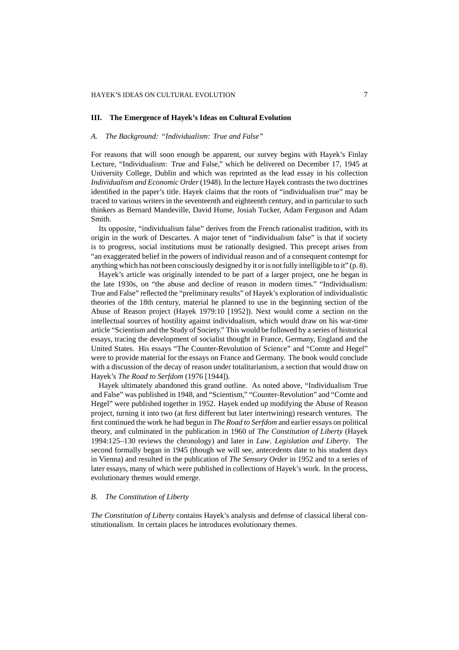#### **III. The Emergence of Hayek's Ideas on Cultural Evolution**

#### *A. The Background: "Individualism: True and False"*

For reasons that will soon enough be apparent, our survey begins with Hayek's Finlay Lecture, "Individualism: True and False," which he delivered on December 17, 1945 at University College, Dublin and which was reprinted as the lead essay in his collection *Individualism and Economic Order* (1948). In the lecture Hayek contrasts the two doctrines identified in the paper's title. Hayek claims that the roots of "individualism true" may be traced to various writers in the seventeenth and eighteenth century, and in particular to such thinkers as Bernard Mandeville, David Hume, Josiah Tucker, Adam Ferguson and Adam Smith.

Its opposite, "individualism false" derives from the French rationalist tradition, with its origin in the work of Descartes. A major tenet of "individualism false" is that if society is to progress, social institutions must be rationally designed. This precept arises from "an exaggerated belief in the powers of individual reason and of a consequent contempt for anything which has not been consciously designed by it or is not fully intelligible to it" (p. 8).

Hayek's article was originally intended to be part of a larger project, one he began in the late 1930s, on "the abuse and decline of reason in modern times." "Individualism: True and False" reflected the "preliminary results" of Hayek's exploration of individualistic theories of the 18th century, material he planned to use in the beginning section of the Abuse of Reason project (Hayek 1979:10 [1952]). Next would come a section on the intellectual sources of hostility against individualism, which would draw on his war-time article "Scientism and the Study of Society." This would be followed by a series of historical essays, tracing the development of socialist thought in France, Germany, England and the United States. His essays "The Counter-Revolution of Science" and "Comte and Hegel" were to provide material for the essays on France and Germany. The book would conclude with a discussion of the decay of reason under totalitarianism, a section that would draw on Hayek's *The Road to Serfdom* (1976 [1944]).

Hayek ultimately abandoned this grand outline. As noted above, "Individualism True and False" was published in 1948, and "Scientism," "Counter-Revolution" and "Comte and Hegel" were published together in 1952. Hayek ended up modifying the Abuse of Reason project, turning it into two (at first different but later intertwining) research ventures. The first continued the work he had begun in *The Road to Serfdom* and earlier essays on political theory, and culminated in the publication in 1960 of *The Constitution of Liberty* (Hayek 1994:125–130 reviews the chronology) and later in *Law*, *Legislation and Liberty*. The second formally began in 1945 (though we will see, antecedents date to his student days in Vienna) and resulted in the publication of *The Sensory Order* in 1952 and to a series of later essays, many of which were published in collections of Hayek's work. In the process, evolutionary themes would emerge.

#### *B. The Constitution of Liberty*

*The Constitution of Liberty* contains Hayek's analysis and defense of classical liberal constitutionalism. In certain places he introduces evolutionary themes.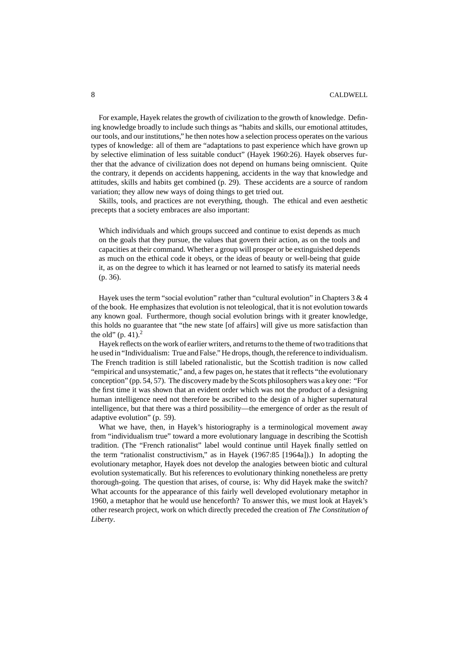For example, Hayek relates the growth of civilization to the growth of knowledge. Defining knowledge broadly to include such things as "habits and skills, our emotional attitudes, our tools, and our institutions," he then notes how a selection process operates on the various types of knowledge: all of them are "adaptations to past experience which have grown up by selective elimination of less suitable conduct" (Hayek 1960:26). Hayek observes further that the advance of civilization does not depend on humans being omniscient. Quite the contrary, it depends on accidents happening, accidents in the way that knowledge and attitudes, skills and habits get combined (p. 29). These accidents are a source of random variation; they allow new ways of doing things to get tried out.

Skills, tools, and practices are not everything, though. The ethical and even aesthetic precepts that a society embraces are also important:

Which individuals and which groups succeed and continue to exist depends as much on the goals that they pursue, the values that govern their action, as on the tools and capacities at their command. Whether a group will prosper or be extinguished depends as much on the ethical code it obeys, or the ideas of beauty or well-being that guide it, as on the degree to which it has learned or not learned to satisfy its material needs (p. 36).

Hayek uses the term "social evolution" rather than "cultural evolution" in Chapters  $3 \& 4$ of the book. He emphasizes that evolution is not teleological, that it is not evolution towards any known goal. Furthermore, though social evolution brings with it greater knowledge, this holds no guarantee that "the new state [of affairs] will give us more satisfaction than the old" (p. 41). $^{2}$ 

Hayek reflects on the work of earlier writers, and returns to the theme of two traditions that he used in "Individualism: True and False." He drops, though, the reference to individualism. The French tradition is still labeled rationalistic, but the Scottish tradition is now called "empirical and unsystematic," and, a few pages on, he states that it reflects "the evolutionary conception" (pp. 54, 57). The discovery made by the Scots philosophers was a key one: "For the first time it was shown that an evident order which was not the product of a designing human intelligence need not therefore be ascribed to the design of a higher supernatural intelligence, but that there was a third possibility—the emergence of order as the result of adaptive evolution" (p. 59).

What we have, then, in Hayek's historiography is a terminological movement away from "individualism true" toward a more evolutionary language in describing the Scottish tradition. (The "French rationalist" label would continue until Hayek finally settled on the term "rationalist constructivism," as in Hayek (1967:85 [1964a]).) In adopting the evolutionary metaphor, Hayek does not develop the analogies between biotic and cultural evolution systematically. But his references to evolutionary thinking nonetheless are pretty thorough-going. The question that arises, of course, is: Why did Hayek make the switch? What accounts for the appearance of this fairly well developed evolutionary metaphor in 1960, a metaphor that he would use henceforth? To answer this, we must look at Hayek's other research project, work on which directly preceded the creation of *The Constitution of Liberty*.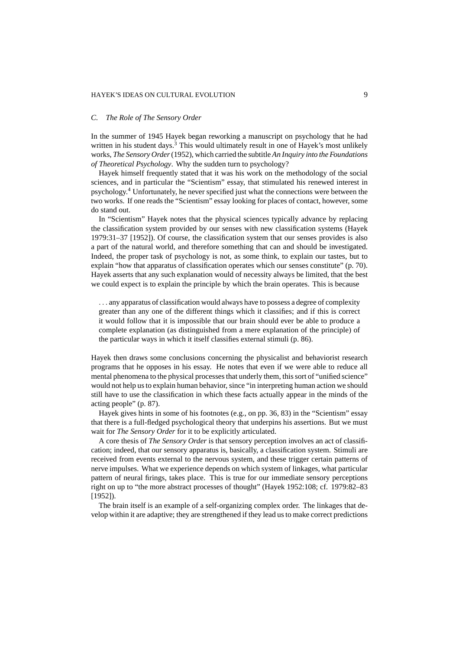# *C. The Role of The Sensory Order*

In the summer of 1945 Hayek began reworking a manuscript on psychology that he had written in his student days.<sup>3</sup> This would ultimately result in one of Hayek's most unlikely works, *The Sensory Order*(1952), which carried the subtitle *An Inquiry into the Foundations of Theoretical Psychology*. Why the sudden turn to psychology?

Hayek himself frequently stated that it was his work on the methodology of the social sciences, and in particular the "Scientism" essay, that stimulated his renewed interest in psychology.4 Unfortunately, he never specified just what the connections were between the two works. If one reads the "Scientism" essay looking for places of contact, however, some do stand out.

In "Scientism" Hayek notes that the physical sciences typically advance by replacing the classification system provided by our senses with new classification systems (Hayek 1979:31–37 [1952]). Of course, the classification system that our senses provides is also a part of the natural world, and therefore something that can and should be investigated. Indeed, the proper task of psychology is not, as some think, to explain our tastes, but to explain "how that apparatus of classification operates which our senses constitute" (p. 70). Hayek asserts that any such explanation would of necessity always be limited, that the best we could expect is to explain the principle by which the brain operates. This is because

... any apparatus of classification would always have to possess a degree of complexity greater than any one of the different things which it classifies; and if this is correct it would follow that it is impossible that our brain should ever be able to produce a complete explanation (as distinguished from a mere explanation of the principle) of the particular ways in which it itself classifies external stimuli (p. 86).

Hayek then draws some conclusions concerning the physicalist and behaviorist research programs that he opposes in his essay. He notes that even if we were able to reduce all mental phenomena to the physical processes that underly them, this sort of "unified science" would not help us to explain human behavior, since "in interpreting human action we should still have to use the classification in which these facts actually appear in the minds of the acting people" (p. 87).

Hayek gives hints in some of his footnotes (e.g., on pp. 36, 83) in the "Scientism" essay that there is a full-fledged psychological theory that underpins his assertions. But we must wait for *The Sensory Order* for it to be explicitly articulated.

A core thesis of *The Sensory Order* is that sensory perception involves an act of classification; indeed, that our sensory apparatus is, basically, a classification system. Stimuli are received from events external to the nervous system, and these trigger certain patterns of nerve impulses. What we experience depends on which system of linkages, what particular pattern of neural firings, takes place. This is true for our immediate sensory perceptions right on up to "the more abstract processes of thought" (Hayek 1952:108; cf. 1979:82–83 [1952]).

The brain itself is an example of a self-organizing complex order. The linkages that develop within it are adaptive; they are strengthened if they lead us to make correct predictions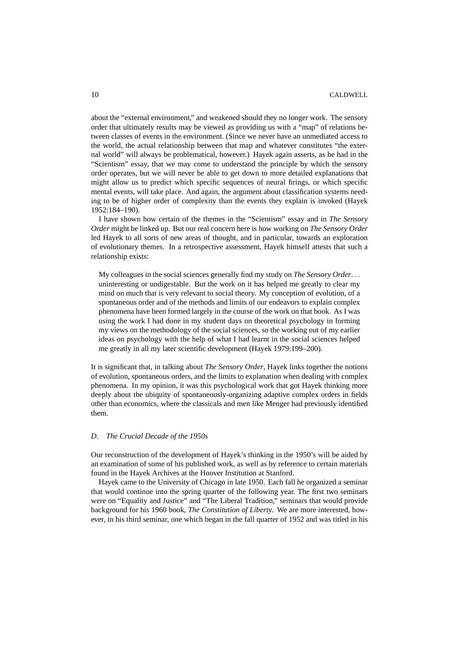about the "external environment," and weakened should they no longer work. The sensory order that ultimately results may be viewed as providing us with a "map" of relations between classes of events in the environment. (Since we never have an unmediated access to the world, the actual relationship between that map and whatever constitutes "the external world" will always be problematical, however.) Hayek again asserts, as he had in the "Scientism" essay, that we may come to understand the principle by which the sensory order operates, but we will never be able to get down to more detailed explanations that might allow us to predict which specific sequences of neural firings, or which specific mental events, will take place. And again, the argument about classification systems needing to be of higher order of complexity than the events they explain is invoked (Hayek 1952:184–190).

I have shown how certain of the themes in the "Scientism" essay and in *The Sensory Order* might be linked up. But our real concern here is how working on *The Sensory Order* led Hayek to all sorts of new areas of thought, and in particular, towards an exploration of evolutionary themes. In a retrospective assessment, Hayek himself attests that such a relationship exists:

My colleagues in the social sciences generally find my study on *The Sensory Order*... uninteresting or undigestable. But the work on it has helped me greatly to clear my mind on much that is very relevant to social theory. My conception of evolution, of a spontaneous order and of the methods and limits of our endeavors to explain complex phenomena have been formed largely in the course of the work on that book. As I was using the work I had done in my student days on theoretical psychology in forming my views on the methodology of the social sciences, so the working out of my earlier ideas on psychology with the help of what I had learnt in the social sciences helped me greatly in all my later scientific development (Hayek 1979:199–200).

It is significant that, in talking about *The Sensory Order*, Hayek links together the notions of evolution, spontaneous orders, and the limits to explanation when dealing with complex phenomena. In my opinion, it was this psychological work that got Hayek thinking more deeply about the ubiquity of spontaneously-organizing adaptive complex orders in fields other than economics, where the classicals and men like Menger had previously identified them.

## *D. The Crucial Decade of the 1950s*

Our reconstruction of the development of Hayek's thinking in the 1950's will be aided by an examination of some of his published work, as well as by reference to certain materials found in the Hayek Archives at the Hoover Institution at Stanford.

Hayek came to the University of Chicago in late 1950. Each fall he organized a seminar that would continue into the spring quarter of the following year. The first two seminars were on "Equality and Justice" and "The Liberal Tradition," seminars that would provide background for his 1960 book, *The Constitution of Liberty*. We are more interested, however, in his third seminar, one which began in the fall quarter of 1952 and was titled in his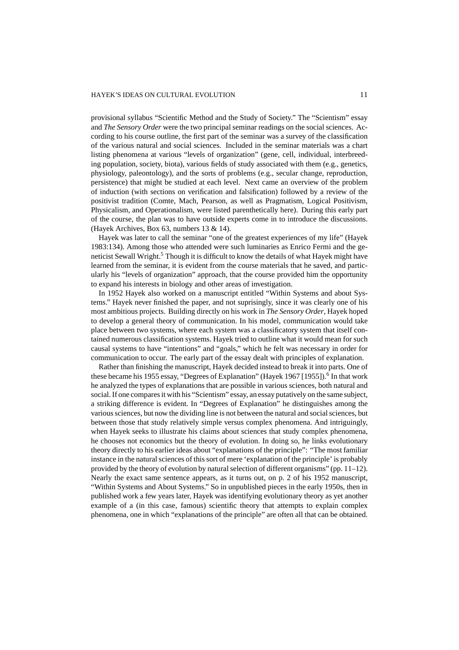provisional syllabus "Scientific Method and the Study of Society." The "Scientism" essay and *The Sensory Order* were the two principal seminar readings on the social sciences. According to his course outline, the first part of the seminar was a survey of the classification of the various natural and social sciences. Included in the seminar materials was a chart listing phenomena at various "levels of organization" (gene, cell, individual, interbreeding population, society, biota), various fields of study associated with them (e.g., genetics, physiology, paleontology), and the sorts of problems (e.g., secular change, reproduction, persistence) that might be studied at each level. Next came an overview of the problem of induction (with sections on verification and falsification) followed by a review of the positivist tradition (Comte, Mach, Pearson, as well as Pragmatism, Logical Positivism, Physicalism, and Operationalism, were listed parenthetically here). During this early part of the course, the plan was to have outside experts come in to introduce the discussions. (Hayek Archives, Box 63, numbers 13 & 14).

Hayek was later to call the seminar "one of the greatest experiences of my life" (Hayek 1983:134). Among those who attended were such luminaries as Enrico Fermi and the geneticist Sewall Wright.<sup>5</sup> Though it is difficult to know the details of what Hayek might have learned from the seminar, it is evident from the course materials that he saved, and particularly his "levels of organization" approach, that the course provided him the opportunity to expand his interests in biology and other areas of investigation.

In 1952 Hayek also worked on a manuscript entitled "Within Systems and about Systems." Hayek never finished the paper, and not suprisingly, since it was clearly one of his most ambitious projects. Building directly on his work in *The Sensory Order*, Hayek hoped to develop a general theory of communication. In his model, communication would take place between two systems, where each system was a classificatory system that itself contained numerous classification systems. Hayek tried to outline what it would mean for such causal systems to have "intentions" and "goals," which he felt was necessary in order for communication to occur. The early part of the essay dealt with principles of explanation.

Rather than finishing the manuscript, Hayek decided instead to break it into parts. One of these became his 1955 essay, "Degrees of Explanation" (Hayek 1967 [1955]).<sup>6</sup> In that work he analyzed the types of explanations that are possible in various sciences, both natural and social. If one compares it with his "Scientism" essay, an essay putatively on the same subject, a striking difference is evident. In "Degrees of Explanation" he distinguishes among the various sciences, but now the dividing line is not between the natural and social sciences, but between those that study relatively simple versus complex phenomena. And intriguingly, when Hayek seeks to illustrate his claims about sciences that study complex phenomena, he chooses not economics but the theory of evolution. In doing so, he links evolutionary theory directly to his earlier ideas about "explanations of the principle": "The most familiar instance in the natural sciences of this sort of mere 'explanation of the principle' is probably provided by the theory of evolution by natural selection of different organisms" (pp. 11–12). Nearly the exact same sentence appears, as it turns out, on p. 2 of his 1952 manuscript, "Within Systems and About Systems." So in unpublished pieces in the early 1950s, then in published work a few years later, Hayek was identifying evolutionary theory as yet another example of a (in this case, famous) scientific theory that attempts to explain complex phenomena, one in which "explanations of the principle" are often all that can be obtained.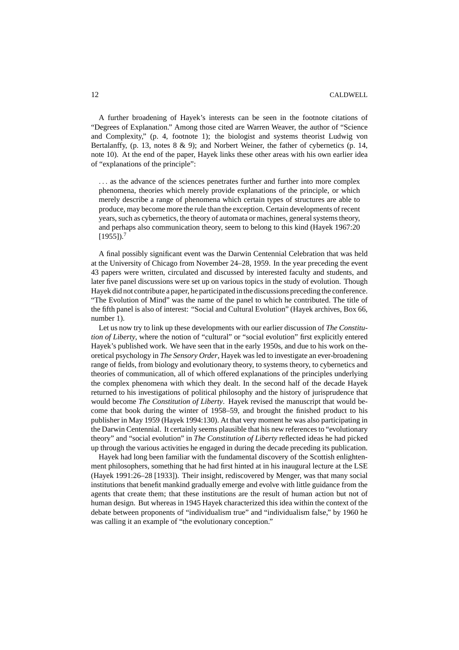A further broadening of Hayek's interests can be seen in the footnote citations of "Degrees of Explanation." Among those cited are Warren Weaver, the author of "Science and Complexity," (p. 4, footnote 1); the biologist and systems theorist Ludwig von Bertalanffy, (p. 13, notes 8 & 9); and Norbert Weiner, the father of cybernetics (p. 14, note 10). At the end of the paper, Hayek links these other areas with his own earlier idea of "explanations of the principle":

... as the advance of the sciences penetrates further and further into more complex phenomena, theories which merely provide explanations of the principle, or which merely describe a range of phenomena which certain types of structures are able to produce, may become more the rule than the exception. Certain developments of recent years, such as cybernetics, the theory of automata or machines, general systems theory, and perhaps also communication theory, seem to belong to this kind (Hayek 1967:20  $[1955]$ .<sup>7</sup>

A final possibly significant event was the Darwin Centennial Celebration that was held at the University of Chicago from November 24–28, 1959. In the year preceding the event 43 papers were written, circulated and discussed by interested faculty and students, and later five panel discussions were set up on various topics in the study of evolution. Though Hayek did not contribute a paper, he participated in the discussions preceding the conference. "The Evolution of Mind" was the name of the panel to which he contributed. The title of the fifth panel is also of interest: "Social and Cultural Evolution" (Hayek archives, Box 66, number 1).

Let us now try to link up these developments with our earlier discussion of *The Constitution of Liberty*, where the notion of "cultural" or "social evolution" first explicitly entered Hayek's published work. We have seen that in the early 1950s, and due to his work on theoretical psychology in *The Sensory Order*, Hayek was led to investigate an ever-broadening range of fields, from biology and evolutionary theory, to systems theory, to cybernetics and theories of communication, all of which offered explanations of the principles underlying the complex phenomena with which they dealt. In the second half of the decade Hayek returned to his investigations of political philosophy and the history of jurisprudence that would become *The Constitution of Liberty*. Hayek revised the manuscript that would become that book during the winter of 1958–59, and brought the finished product to his publisher in May 1959 (Hayek 1994:130). At that very moment he was also participating in the Darwin Centennial. It certainly seems plausible that his new references to "evolutionary theory" and "social evolution" in *The Constitution of Liberty* reflected ideas he had picked up through the various activities he engaged in during the decade preceding its publication.

Hayek had long been familiar with the fundamental discovery of the Scottish enlightenment philosophers, something that he had first hinted at in his inaugural lecture at the LSE (Hayek 1991:26–28 [1933]). Their insight, rediscovered by Menger, was that many social institutions that benefit mankind gradually emerge and evolve with little guidance from the agents that create them; that these institutions are the result of human action but not of human design. But whereas in 1945 Hayek characterized this idea within the context of the debate between proponents of "individualism true" and "individualism false," by 1960 he was calling it an example of "the evolutionary conception."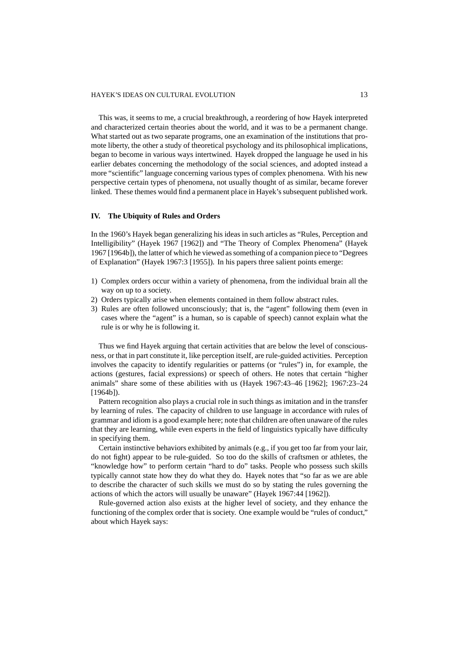This was, it seems to me, a crucial breakthrough, a reordering of how Hayek interpreted and characterized certain theories about the world, and it was to be a permanent change. What started out as two separate programs, one an examination of the institutions that promote liberty, the other a study of theoretical psychology and its philosophical implications, began to become in various ways intertwined. Hayek dropped the language he used in his earlier debates concerning the methodology of the social sciences, and adopted instead a more "scientific" language concerning various types of complex phenomena. With his new perspective certain types of phenomena, not usually thought of as similar, became forever linked. These themes would find a permanent place in Hayek's subsequent published work.

## **IV. The Ubiquity of Rules and Orders**

In the 1960's Hayek began generalizing his ideas in such articles as "Rules, Perception and Intelligibility" (Hayek 1967 [1962]) and "The Theory of Complex Phenomena" (Hayek 1967 [1964b]), the latter of which he viewed as something of a companion piece to "Degrees of Explanation" (Hayek 1967:3 [1955]). In his papers three salient points emerge:

- 1) Complex orders occur within a variety of phenomena, from the individual brain all the way on up to a society.
- 2) Orders typically arise when elements contained in them follow abstract rules.
- 3) Rules are often followed unconsciously; that is, the "agent" following them (even in cases where the "agent" is a human, so is capable of speech) cannot explain what the rule is or why he is following it.

Thus we find Hayek arguing that certain activities that are below the level of consciousness, or that in part constitute it, like perception itself, are rule-guided activities. Perception involves the capacity to identify regularities or patterns (or "rules") in, for example, the actions (gestures, facial expressions) or speech of others. He notes that certain "higher animals" share some of these abilities with us (Hayek 1967:43–46 [1962]; 1967:23–24  $[1964b]$ .

Pattern recognition also plays a crucial role in such things as imitation and in the transfer by learning of rules. The capacity of children to use language in accordance with rules of grammar and idiom is a good example here; note that children are often unaware of the rules that they are learning, while even experts in the field of linguistics typically have difficulty in specifying them.

Certain instinctive behaviors exhibited by animals (e.g., if you get too far from your lair, do not fight) appear to be rule-guided. So too do the skills of craftsmen or athletes, the "knowledge how" to perform certain "hard to do" tasks. People who possess such skills typically cannot state how they do what they do. Hayek notes that "so far as we are able to describe the character of such skills we must do so by stating the rules governing the actions of which the actors will usually be unaware" (Hayek 1967:44 [1962]).

Rule-governed action also exists at the higher level of society, and they enhance the functioning of the complex order that is society. One example would be "rules of conduct," about which Hayek says: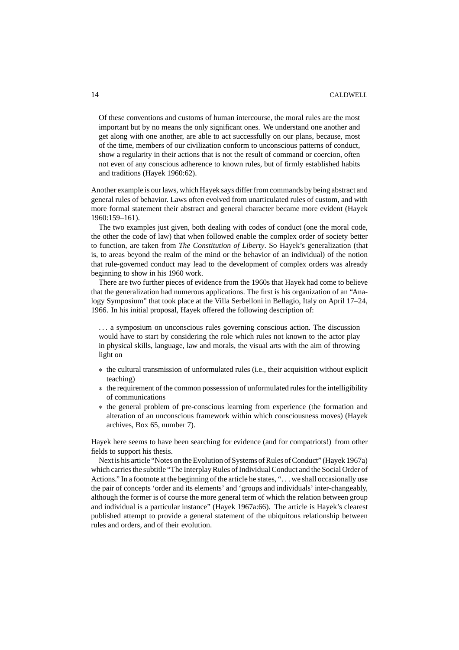Of these conventions and customs of human intercourse, the moral rules are the most important but by no means the only significant ones. We understand one another and get along with one another, are able to act successfully on our plans, because, most of the time, members of our civilization conform to unconscious patterns of conduct, show a regularity in their actions that is not the result of command or coercion, often not even of any conscious adherence to known rules, but of firmly established habits and traditions (Hayek 1960:62).

Another example is our laws, which Hayek says differ from commands by being abstract and general rules of behavior. Laws often evolved from unarticulated rules of custom, and with more formal statement their abstract and general character became more evident (Hayek 1960:159–161).

The two examples just given, both dealing with codes of conduct (one the moral code, the other the code of law) that when followed enable the complex order of society better to function, are taken from *The Constitution of Liberty*. So Hayek's generalization (that is, to areas beyond the realm of the mind or the behavior of an individual) of the notion that rule-governed conduct may lead to the development of complex orders was already beginning to show in his 1960 work.

There are two further pieces of evidence from the 1960s that Hayek had come to believe that the generalization had numerous applications. The first is his organization of an "Analogy Symposium" that took place at the Villa Serbelloni in Bellagio, Italy on April 17–24, 1966. In his initial proposal, Hayek offered the following description of:

... a symposium on unconscious rules governing conscious action. The discussion would have to start by considering the role which rules not known to the actor play in physical skills, language, law and morals, the visual arts with the aim of throwing light on

- ∗ the cultural transmission of unformulated rules (i.e., their acquisition without explicit teaching)
- ∗ the requirement of the common possesssion of unformulated rules for the intelligibility of communications
- ∗ the general problem of pre-conscious learning from experience (the formation and alteration of an unconscious framework within which consciousness moves) (Hayek archives, Box 65, number 7).

Hayek here seems to have been searching for evidence (and for compatriots!) from other fields to support his thesis.

Next is his article "Notes on the Evolution of Systems of Rules of Conduct" (Hayek 1967a) which carries the subtitle "The Interplay Rules of Individual Conduct and the Social Order of Actions." In a footnote at the beginning of the article he states, "... we shall occasionally use the pair of concepts 'order and its elements' and 'groups and individuals' inter-changeably, although the former is of course the more general term of which the relation between group and individual is a particular instance" (Hayek 1967a:66). The article is Hayek's clearest published attempt to provide a general statement of the ubiquitous relationship between rules and orders, and of their evolution.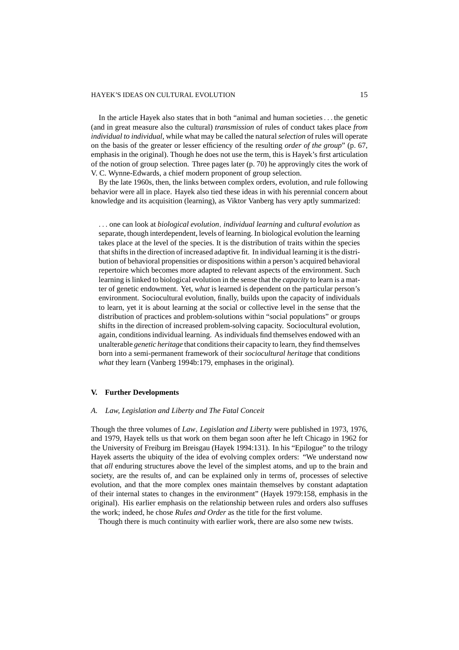#### HAYEK'S IDEAS ON CULTURAL EVOLUTION 15

In the article Hayek also states that in both "animal and human societies... the genetic (and in great measure also the cultural) *transmission* of rules of conduct takes place *from individual to individual*, while what may be called the natural *selection* of rules will operate on the basis of the greater or lesser efficiency of the resulting *order of the group*" (p. 67, emphasis in the original). Though he does not use the term, this is Hayek's first articulation of the notion of group selection. Three pages later (p. 70) he approvingly cites the work of V. C. Wynne-Edwards, a chief modern proponent of group selection.

By the late 1960s, then, the links between complex orders, evolution, and rule following behavior were all in place. Hayek also tied these ideas in with his perennial concern about knowledge and its acquisition (learning), as Viktor Vanberg has very aptly summarized:

... one can look at *biological evolution*, *individual learning* and *cultural evolution* as separate, though interdependent, levels of learning. In biological evolution the learning takes place at the level of the species. It is the distribution of traits within the species that shifts in the direction of increased adaptive fit. In individual learning it is the distribution of behavioral propensities or dispositions within a person's acquired behavioral repertoire which becomes more adapted to relevant aspects of the environment. Such learning is linked to biological evolution in the sense that the *capacity* to learn is a matter of genetic endowment. Yet, *what* is learned is dependent on the particular person's environment. Sociocultural evolution, finally, builds upon the capacity of individuals to learn, yet it is about learning at the social or collective level in the sense that the distribution of practices and problem-solutions within "social populations" or groups shifts in the direction of increased problem-solving capacity. Sociocultural evolution, again, conditions individual learning. As individuals find themselves endowed with an unalterable *genetic heritage* that conditions their capacity to learn, they find themselves born into a semi-permanent framework of their *sociocultural heritage* that conditions *what* they learn (Vanberg 1994b:179, emphases in the original).

## **V. Further Developments**

#### *A. Law, Legislation and Liberty and The Fatal Conceit*

Though the three volumes of *Law*, *Legislation and Liberty* were published in 1973, 1976, and 1979, Hayek tells us that work on them began soon after he left Chicago in 1962 for the University of Freiburg im Breisgau (Hayek 1994:131). In his "Epilogue" to the trilogy Hayek asserts the ubiquity of the idea of evolving complex orders: "We understand now that *all* enduring structures above the level of the simplest atoms, and up to the brain and society, are the results of, and can be explained only in terms of, processes of selective evolution, and that the more complex ones maintain themselves by constant adaptation of their internal states to changes in the environment" (Hayek 1979:158, emphasis in the original). His earlier emphasis on the relationship between rules and orders also suffuses the work; indeed, he chose *Rules and Order* as the title for the first volume.

Though there is much continuity with earlier work, there are also some new twists.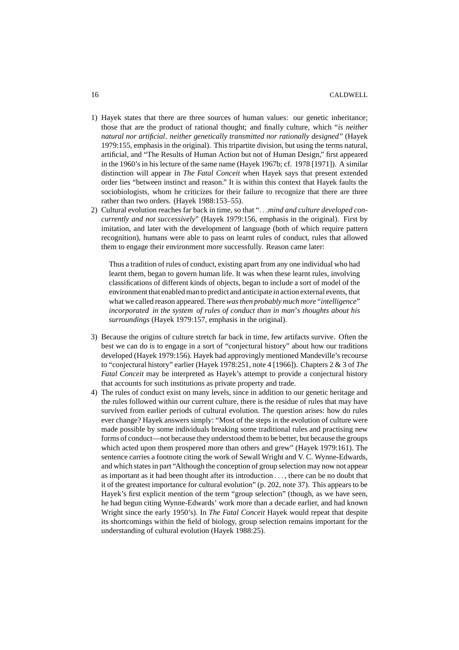- 1) Hayek states that there are three sources of human values: our genetic inheritance; those that are the product of rational thought; and finally culture, which "*is neither natural nor artificial*, *neither genetically transmitted nor rationally designed*" (Hayek 1979:155, emphasis in the original). This tripartite division, but using the terms natural, artificial, and "The Results of Human Action but not of Human Design," first appeared in the 1960's in his lecture of the same name (Hayek 1967b; cf. 1978 [1971]). A similar distinction will appear in *The Fatal Conceit* when Hayek says that present extended order lies "between instinct and reason." It is within this context that Hayek faults the sociobiologists, whom he criticizes for their failure to recognize that there are three rather than two orders. (Hayek 1988:153–55).
- 2) Cultural evolution reaches far back in time, so that "...*mind and culture developed concurrently and not successively*" (Hayek 1979:156, emphasis in the original). First by imitation, and later with the development of language (both of which require pattern recognition), humans were able to pass on learnt rules of conduct, rules that allowed them to engage their environment more successfully. Reason came later:

Thus a tradition of rules of conduct, existing apart from any one individual who had learnt them, began to govern human life. It was when these learnt rules, involving classifications of different kinds of objects, began to include a sort of model of the environment that enabled man to predict and anticipate in action external events, that what we called reason appeared. There*was then probably much more* "*intelligence*" *incorporated in the system of rules of conduct than in man*'*s thoughts about his surroundings* (Hayek 1979:157, emphasis in the original).

- 3) Because the origins of culture stretch far back in time, few artifacts survive. Often the best we can do is to engage in a sort of "conjectural history" about how our traditions developed (Hayek 1979:156). Hayek had approvingly mentioned Mandeville's recourse to "conjectural history" earlier (Hayek 1978:251, note 4 [1966]). Chapters 2 & 3 of *The Fatal Conceit* may be interpreted as Hayek's attempt to provide a conjectural history that accounts for such institutions as private property and trade.
- 4) The rules of conduct exist on many levels, since in addition to our genetic heritage and the rules followed within our current culture, there is the residue of rules that may have survived from earlier periods of cultural evolution. The question arises: how do rules ever change? Hayek answers simply: "Most of the steps in the evolution of culture were made possible by some individuals breaking some traditional rules and practising new forms of conduct—not because they understood them to be better, but because the groups which acted upon them prospered more than others and grew" (Hayek 1979:161). The sentence carries a footnote citing the work of Sewall Wright and V. C. Wynne-Edwards, and which states in part "Although the conception of group selection may now not appear as important as it had been thought after its introduction ... , there can be no doubt that it of the greatest importance for cultural evolution" (p. 202, note 37). This appears to be Hayek's first explicit mention of the term "group selection" (though, as we have seen, he had begun citing Wynne-Edwards' work more than a decade earlier, and had known Wright since the early 1950's). In *The Fatal Conceit* Hayek would repeat that despite its shortcomings within the field of biology, group selection remains important for the understanding of cultural evolution (Hayek 1988:25).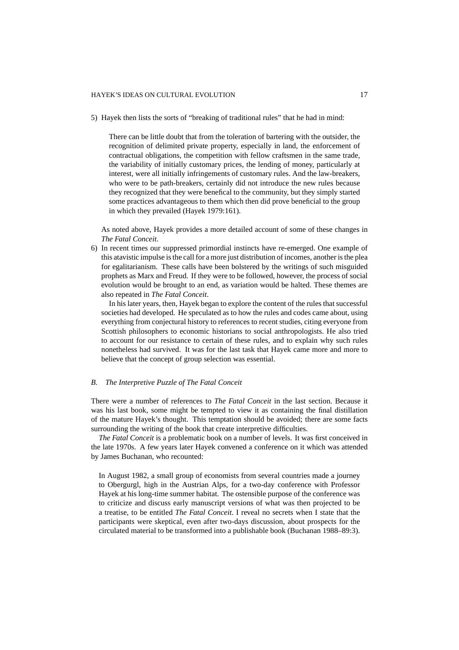## HAYEK'S IDEAS ON CULTURAL EVOLUTION 17

5) Hayek then lists the sorts of "breaking of traditional rules" that he had in mind:

There can be little doubt that from the toleration of bartering with the outsider, the recognition of delimited private property, especially in land, the enforcement of contractual obligations, the competition with fellow craftsmen in the same trade, the variability of initially customary prices, the lending of money, particularly at interest, were all initially infringements of customary rules. And the law-breakers, who were to be path-breakers, certainly did not introduce the new rules because they recognized that they were benefical to the community, but they simply started some practices advantageous to them which then did prove beneficial to the group in which they prevailed (Hayek 1979:161).

As noted above, Hayek provides a more detailed account of some of these changes in *The Fatal Conceit*.

6) In recent times our suppressed primordial instincts have re-emerged. One example of this atavistic impulse is the call for a more just distribution of incomes, another is the plea for egalitarianism. These calls have been bolstered by the writings of such misguided prophets as Marx and Freud. If they were to be followed, however, the process of social evolution would be brought to an end, as variation would be halted. These themes are also repeated in *The Fatal Conceit*.

In his later years, then, Hayek began to explore the content of the rules that successful societies had developed. He speculated as to how the rules and codes came about, using everything from conjectural history to references to recent studies, citing everyone from Scottish philosophers to economic historians to social anthropologists. He also tried to account for our resistance to certain of these rules, and to explain why such rules nonetheless had survived. It was for the last task that Hayek came more and more to believe that the concept of group selection was essential.

#### *B. The Interpretive Puzzle of The Fatal Conceit*

There were a number of references to *The Fatal Conceit* in the last section. Because it was his last book, some might be tempted to view it as containing the final distillation of the mature Hayek's thought. This temptation should be avoided; there are some facts surrounding the writing of the book that create interpretive difficulties.

*The Fatal Conceit* is a problematic book on a number of levels. It was first conceived in the late 1970s. A few years later Hayek convened a conference on it which was attended by James Buchanan, who recounted:

In August 1982, a small group of economists from several countries made a journey to Obergurgl, high in the Austrian Alps, for a two-day conference with Professor Hayek at his long-time summer habitat. The ostensible purpose of the conference was to criticize and discuss early manuscript versions of what was then projected to be a treatise, to be entitled *The Fatal Conceit*. I reveal no secrets when I state that the participants were skeptical, even after two-days discussion, about prospects for the circulated material to be transformed into a publishable book (Buchanan 1988–89:3).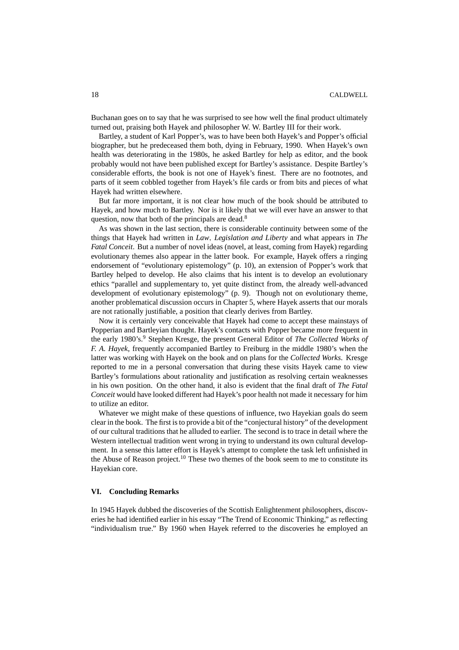Buchanan goes on to say that he was surprised to see how well the final product ultimately turned out, praising both Hayek and philosopher W. W. Bartley III for their work.

Bartley, a student of Karl Popper's, was to have been both Hayek's and Popper's official biographer, but he predeceased them both, dying in February, 1990. When Hayek's own health was deteriorating in the 1980s, he asked Bartley for help as editor, and the book probably would not have been published except for Bartley's assistance. Despite Bartley's considerable efforts, the book is not one of Hayek's finest. There are no footnotes, and parts of it seem cobbled together from Hayek's file cards or from bits and pieces of what Hayek had written elsewhere.

But far more important, it is not clear how much of the book should be attributed to Hayek, and how much to Bartley. Nor is it likely that we will ever have an answer to that question, now that both of the principals are dead.<sup>8</sup>

As was shown in the last section, there is considerable continuity between some of the things that Hayek had written in *Law*, *Legislation and Liberty* and what appears in *The Fatal Conceit*. But a number of novel ideas (novel, at least, coming from Hayek) regarding evolutionary themes also appear in the latter book. For example, Hayek offers a ringing endorsement of "evolutionary epistemology" (p. 10), an extension of Popper's work that Bartley helped to develop. He also claims that his intent is to develop an evolutionary ethics "parallel and supplementary to, yet quite distinct from, the already well-advanced development of evolutionary epistemology" (p. 9). Though not on evolutionary theme, another problematical discussion occurs in Chapter 5, where Hayek asserts that our morals are not rationally justifiable, a position that clearly derives from Bartley.

Now it is certainly very conceivable that Hayek had come to accept these mainstays of Popperian and Bartleyian thought. Hayek's contacts with Popper became more frequent in the early 1980's.9 Stephen Kresge, the present General Editor of *The Collected Works of F. A. Hayek*, frequently accompanied Bartley to Freiburg in the middle 1980's when the latter was working with Hayek on the book and on plans for the *Collected Works*. Kresge reported to me in a personal conversation that during these visits Hayek came to view Bartley's formulations about rationality and justification as resolving certain weaknesses in his own position. On the other hand, it also is evident that the final draft of *The Fatal Conceit* would have looked different had Hayek's poor health not made it necessary for him to utilize an editor.

Whatever we might make of these questions of influence, two Hayekian goals do seem clear in the book. The first is to provide a bit of the "conjectural history" of the development of our cultural traditions that he alluded to earlier. The second is to trace in detail where the Western intellectual tradition went wrong in trying to understand its own cultural development. In a sense this latter effort is Hayek's attempt to complete the task left unfinished in the Abuse of Reason project.<sup>10</sup> These two themes of the book seem to me to constitute its Hayekian core.

#### **VI. Concluding Remarks**

In 1945 Hayek dubbed the discoveries of the Scottish Enlightenment philosophers, discoveries he had identified earlier in his essay "The Trend of Economic Thinking," as reflecting "individualism true." By 1960 when Hayek referred to the discoveries he employed an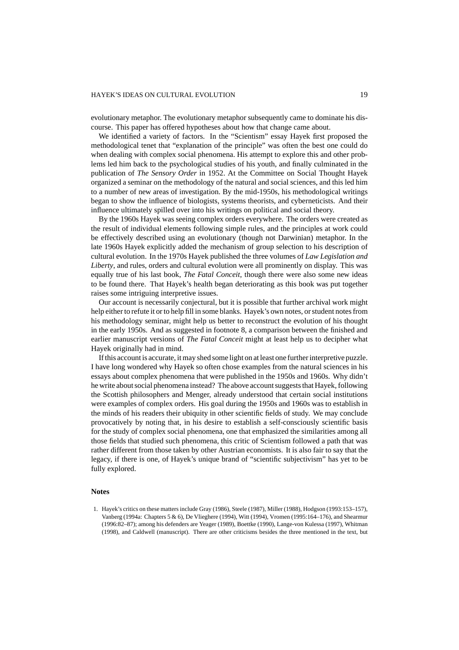evolutionary metaphor. The evolutionary metaphor subsequently came to dominate his discourse. This paper has offered hypotheses about how that change came about.

We identified a variety of factors. In the "Scientism" essay Hayek first proposed the methodological tenet that "explanation of the principle" was often the best one could do when dealing with complex social phenomena. His attempt to explore this and other problems led him back to the psychological studies of his youth, and finally culminated in the publication of *The Sensory Order* in 1952. At the Committee on Social Thought Hayek organized a seminar on the methodology of the natural and social sciences, and this led him to a number of new areas of investigation. By the mid-1950s, his methodological writings began to show the influence of biologists, systems theorists, and cyberneticists. And their influence ultimately spilled over into his writings on political and social theory.

By the 1960s Hayek was seeing complex orders everywhere. The orders were created as the result of individual elements following simple rules, and the principles at work could be effectively described using an evolutionary (though not Darwinian) metaphor. In the late 1960s Hayek explicitly added the mechanism of group selection to his description of cultural evolution. In the 1970s Hayek published the three volumes of *Law Legislation and Liberty*, and rules, orders and cultural evolution were all prominently on display. This was equally true of his last book, *The Fatal Conceit*, though there were also some new ideas to be found there. That Hayek's health began deteriorating as this book was put together raises some intriguing interpretive issues.

Our account is necessarily conjectural, but it is possible that further archival work might help either to refute it or to help fill in some blanks. Hayek's own notes, or student notes from his methodology seminar, might help us better to reconstruct the evolution of his thought in the early 1950s. And as suggested in footnote 8, a comparison between the finished and earlier manuscript versions of *The Fatal Conceit* might at least help us to decipher what Hayek originally had in mind.

If this account is accurate, it may shed some light on at least one further interpretive puzzle. I have long wondered why Hayek so often chose examples from the natural sciences in his essays about complex phenomena that were published in the 1950s and 1960s. Why didn't he write about social phenomena instead? The above account suggests that Hayek, following the Scottish philosophers and Menger, already understood that certain social institutions were examples of complex orders. His goal during the 1950s and 1960s was to establish in the minds of his readers their ubiquity in other scientific fields of study. We may conclude provocatively by noting that, in his desire to establish a self-consciously scientific basis for the study of complex social phenomena, one that emphasized the similarities among all those fields that studied such phenomena, this critic of Scientism followed a path that was rather different from those taken by other Austrian economists. It is also fair to say that the legacy, if there is one, of Hayek's unique brand of "scientific subjectivism" has yet to be fully explored.

#### **Notes**

1. Hayek's critics on these matters include Gray (1986), Steele (1987), Miller (1988), Hodgson (1993:153–157), Vanberg (1994a: Chapters 5 & 6), De Vlieghere (1994), Witt (1994), Vromen (1995:164–176), and Shearmur (1996:82–87); among his defenders are Yeager (1989), Boettke (1990), Lange-von Kulessa (1997), Whitman (1998), and Caldwell (manuscript). There are other criticisms besides the three mentioned in the text, but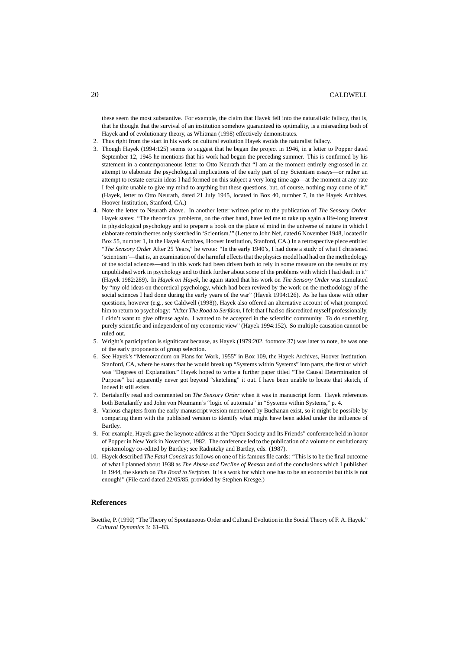these seem the most substantive. For example, the claim that Hayek fell into the naturalistic fallacy, that is, that he thought that the survival of an institution somehow guaranteed its optimality, is a misreading both of Hayek and of evolutionary theory, as Whitman (1998) effectively demonstrates.

- 2. Thus right from the start in his work on cultural evolution Hayek avoids the naturalist fallacy.
- 3. Though Hayek (1994:125) seems to suggest that he began the project in 1946, in a letter to Popper dated September 12, 1945 he mentions that his work had begun the preceding summer. This is confirmed by his statement in a contemporaneous letter to Otto Neurath that "I am at the moment entirely engrossed in an attempt to elaborate the psychological implications of the early part of my Scientism essays—or rather an attempt to restate certain ideas I had formed on this subject a very long time ago—at the moment at any rate I feel quite unable to give my mind to anything but these questions, but, of course, nothing may come of it." (Hayek, letter to Otto Neurath, dated 21 July 1945, located in Box 40, number 7, in the Hayek Archives, Hoover Institution, Stanford, CA.)
- 4. Note the letter to Neurath above. In another letter written prior to the publication of *The Sensory Order*, Hayek states: "The theoretical problems, on the other hand, have led me to take up again a life-long interest in physiological psychology and to prepare a book on the place of mind in the universe of nature in which I elaborate certain themes only sketched in 'Scientism.'" (Letter to John Nef, dated 6 November 1948, located in Box 55, number 1, in the Hayek Archives, Hoover Institution, Stanford, CA.) In a retrospective piece entitled "*The Sensory Order* After 25 Years," he wrote: "In the early 1940's, I had done a study of what I christened 'scientism'—that is, an examination of the harmful effects that the physics model had had on the methodology of the social sciences—and in this work had been driven both to rely in some measure on the results of my unpublished work in psychology and to think further about some of the problems with which I had dealt in it" (Hayek 1982:289). In *Hayek on Hayek*, he again stated that his work on *The Sensory Order* was stimulated by "my old ideas on theoretical psychology, which had been revived by the work on the methodology of the social sciences I had done during the early years of the war" (Hayek 1994:126). As he has done with other questions, however (e.g., see Caldwell (1998)), Hayek also offered an alternative account of what prompted him to return to psychology: "After *The Road to Serfdom*, I felt that I had so discredited myself professionally, I didn't want to give offense again. I wanted to be accepted in the scientific community. To do something purely scientific and independent of my economic view" (Hayek 1994:152). So multiple causation cannot be ruled out.
- 5. Wright's participation is significant because, as Hayek (1979:202, footnote 37) was later to note, he was one of the early proponents of group selection.
- 6. See Hayek's "Memorandum on Plans for Work, 1955" in Box 109, the Hayek Archives, Hoover Institution, Stanford, CA, where he states that he would break up "Systems within Systems" into parts, the first of which was "Degrees of Explanation." Hayek hoped to write a further paper titled "The Causal Determination of Purpose" but apparently never got beyond "sketching" it out. I have been unable to locate that sketch, if indeed it still exists.
- 7. Bertalanffy read and commented on *The Sensory Order* when it was in manuscript form. Hayek references both Bertalanffy and John von Neumann's "logic of automata" in "Systems within Systems," p. 4.
- 8. Various chapters from the early manuscript version mentioned by Buchanan exist, so it might be possible by comparing them with the published version to identify what might have been added under the influence of Bartley.
- 9. For example, Hayek gave the keynote address at the "Open Society and Its Friends" conference held in honor of Popper in New York in November, 1982. The conference led to the publication of a volume on evolutionary epistemology co-edited by Bartley; see Radnitzky and Bartley, eds. (1987).
- 10. Hayek described *The Fatal Conceit* as follows on one of his famous file cards: "This is to be the final outcome of what I planned about 1938 as *The Abuse and Decline of Reason* and of the conclusions which I published in 1944, the sketch on *The Road to Serfdom*. It is a work for which one has to be an economist but this is not enough!" (File card dated 22/05/85, provided by Stephen Kresge.)

## **References**

Boettke, P. (1990) "The Theory of Spontaneous Order and Cultural Evolution in the Social Theory of F. A. Hayek." *Cultural Dynamics* 3: 61–83.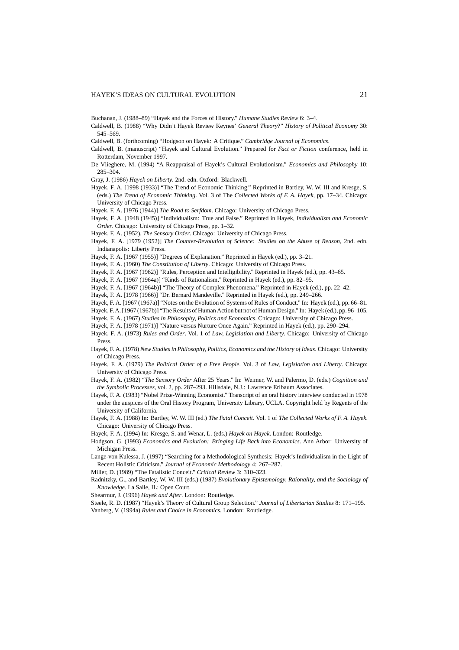#### HAYEK'S IDEAS ON CULTURAL EVOLUTION 21

Buchanan, J. (1988–89) "Hayek and the Forces of History." *Humane Studies Review* 6: 3–4.

- Caldwell, B. (1988) "Why Didn't Hayek Review Keynes' *General Theory*?" *History of Political Economy* 30: 545–569.
- Caldwell, B. (forthcoming) "Hodgson on Hayek: A Critique." *Cambridge Journal of Economics*.
- Caldwell, B. (manuscript) "Hayek and Cultural Evolution." Prepared for *Fact or Fiction* conference, held in Rotterdam, November 1997.
- De Vlieghere, M. (1994) "A Reappraisal of Hayek's Cultural Evolutionism." *Economics and Philosophy* 10: 285–304.

Gray, J. (1986) *Hayek on Liberty*. 2nd. edn. Oxford: Blackwell.

- Hayek, F. A. [1998 (1933)] "The Trend of Economic Thinking." Reprinted in Bartley, W. W. III and Kresge, S. (eds.) *The Trend of Economic Thinking*. Vol. 3 of The *Collected Works of F. A. Hayek*, pp. 17–34. Chicago: University of Chicago Press.
- Hayek, F. A. [1976 (1944)] *The Road to Serfdom*. Chicago: University of Chicago Press.
- Hayek, F. A. [1948 (1945)] "Individualism: True and False." Reprinted in Hayek, *Individualism and Economic Order*. Chicago: University of Chicago Press, pp. 1–32.
- Hayek, F. A. (1952). *The Sensory Order*. Chicago: University of Chicago Press.
- Hayek, F. A. [1979 (1952)] *The Counter-Revolution of Science: Studies on the Abuse of Reason*, 2nd. edn. Indianapolis: Liberty Press.
- Hayek, F. A. [1967 (1955)] "Degrees of Explanation." Reprinted in Hayek (ed.), pp. 3–21.
- Hayek, F. A. (1960) *The Constitution of Liberty*. Chicago: University of Chicago Press.
- Hayek, F. A. [1967 (1962)] "Rules, Perception and Intelligibility." Reprinted in Hayek (ed.), pp. 43–65.
- Hayek, F. A. [1967 (1964a)] "Kinds of Rationalism." Reprinted in Hayek (ed.), pp. 82–95.
- Hayek, F. A. [1967 (1964b)] "The Theory of Complex Phenomena." Reprinted in Hayek (ed.), pp. 22–42.
- Hayek, F. A. [1978 (1966)] "Dr. Bernard Mandeville." Reprinted in Hayek (ed.), pp. 249–266.
- Hayek, F. A. [1967 (1967a)] "Notes on the Evolution of Systems of Rules of Conduct." In: Hayek (ed.), pp. 66–81.
- Hayek, F. A. [1967 (1967b)] "The Results of Human Action but not of Human Design." In: Hayek (ed.), pp. 96–105.
- Hayek, F. A. (1967) *Studies in Philosophy, Politics and Economics*. Chicago: University of Chicago Press.
- Hayek, F. A. [1978 (1971)] "Nature versus Nurture Once Again." Reprinted in Hayek (ed.), pp. 290–294.
- Hayek, F. A. (1973) *Rules and Order*. Vol. 1 of *Law, Legislation and Liberty*. Chicago: University of Chicago Press.
- Hayek, F. A. (1978) *New Studies in Philosophy, Politics, Economics and the History of Ideas*. Chicago: University of Chicago Press.
- Hayek, F. A. (1979) *The Political Order of a Free People*. Vol. 3 of *Law, Legislation and Liberty*. Chicago: University of Chicago Press.
- Hayek, F. A. (1982) "*The Sensory Order* After 25 Years." In: Weimer, W. and Palermo, D. (eds.) *Cognition and the Symbolic Processes*, vol. 2, pp. 287–293. Hillsdale, N.J.: Lawrence Erlbaum Associates.
- Hayek, F. A. (1983) "Nobel Prize-Winning Economist." Transcript of an oral history interview conducted in 1978 under the auspices of the Oral History Program, University Library, UCLA. Copyright held by Regents of the University of California.
- Hayek, F. A. (1988) In: Bartley, W. W. III (ed.) *The Fatal Conceit*. Vol. 1 of *The Collected Works of F. A. Hayek*. Chicago: University of Chicago Press.
- Hayek, F. A. (1994) In: Kresge, S. and Wenar, L. (eds.) *Hayek on Hayek*. London: Routledge.
- Hodgson, G. (1993) *Economics and Evolution: Bringing Life Back into Economics*. Ann Arbor: University of Michigan Press.
- Lange-von Kulessa, J. (1997) "Searching for a Methodological Synthesis: Hayek's Individualism in the Light of Recent Holistic Criticism." *Journal of Economic Methodology* 4: 267–287.
- Miller, D. (1989) "The Fatalistic Conceit." *Critical Review* 3: 310–323.
- Radnitzky, G., and Bartley, W. W. III (eds.) (1987) *Evolutionary Epistemology, Raionality, and the Sociology of Knowledge*. La Salle, IL: Open Court.
- Shearmur, J. (1996) *Hayek and After*. London: Routledge.
- Steele, R. D. (1987) "Hayek's Theory of Cultural Group Selection." *Journal of Libertarian Studies* 8: 171–195.
- Vanberg, V. (1994a) *Rules and Choice in Economics*. London: Routledge.